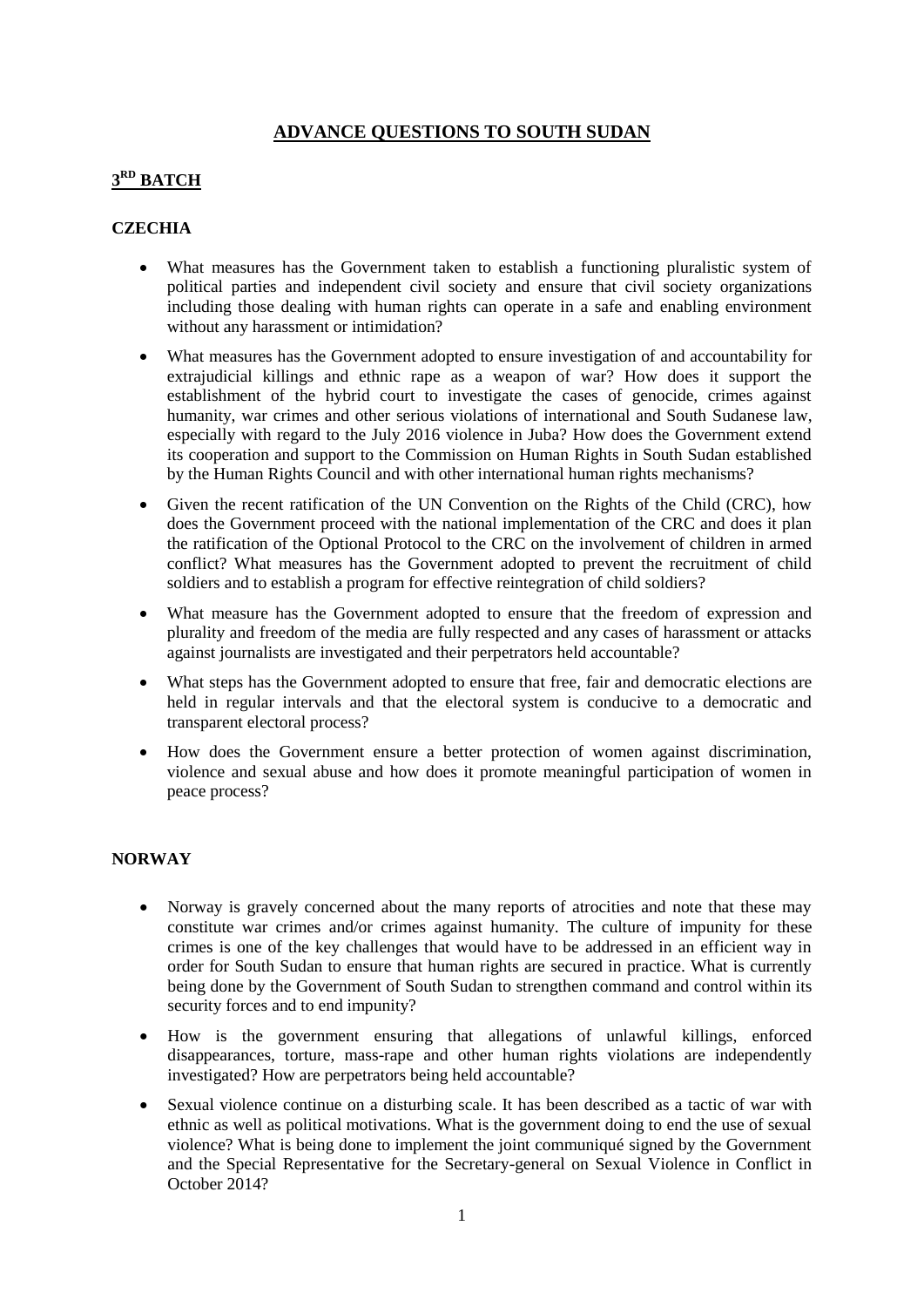## **ADVANCE QUESTIONS TO SOUTH SUDAN**

## **3 RD BATCH**

## **CZECHIA**

- What measures has the Government taken to establish a functioning pluralistic system of political parties and independent civil society and ensure that civil society organizations including those dealing with human rights can operate in a safe and enabling environment without any harassment or intimidation?
- What measures has the Government adopted to ensure investigation of and accountability for extrajudicial killings and ethnic rape as a weapon of war? How does it support the establishment of the hybrid court to investigate the cases of genocide, crimes against humanity, war crimes and other serious violations of international and South Sudanese law, especially with regard to the July 2016 violence in Juba? How does the Government extend its cooperation and support to the Commission on Human Rights in South Sudan established by the Human Rights Council and with other international human rights mechanisms?
- Given the recent ratification of the UN Convention on the Rights of the Child (CRC), how does the Government proceed with the national implementation of the CRC and does it plan the ratification of the Optional Protocol to the CRC on the involvement of children in armed conflict? What measures has the Government adopted to prevent the recruitment of child soldiers and to establish a program for effective reintegration of child soldiers?
- What measure has the Government adopted to ensure that the freedom of expression and plurality and freedom of the media are fully respected and any cases of harassment or attacks against journalists are investigated and their perpetrators held accountable?
- What steps has the Government adopted to ensure that free, fair and democratic elections are held in regular intervals and that the electoral system is conducive to a democratic and transparent electoral process?
- How does the Government ensure a better protection of women against discrimination, violence and sexual abuse and how does it promote meaningful participation of women in peace process?

## **NORWAY**

- Norway is gravely concerned about the many reports of atrocities and note that these may constitute war crimes and/or crimes against humanity. The culture of impunity for these crimes is one of the key challenges that would have to be addressed in an efficient way in order for South Sudan to ensure that human rights are secured in practice. What is currently being done by the Government of South Sudan to strengthen command and control within its security forces and to end impunity?
- How is the government ensuring that allegations of unlawful killings, enforced disappearances, torture, mass-rape and other human rights violations are independently investigated? How are perpetrators being held accountable?
- Sexual violence continue on a disturbing scale. It has been described as a tactic of war with ethnic as well as political motivations. What is the government doing to end the use of sexual violence? What is being done to implement the joint communiqué signed by the Government and the Special Representative for the Secretary-general on Sexual Violence in Conflict in October 2014?